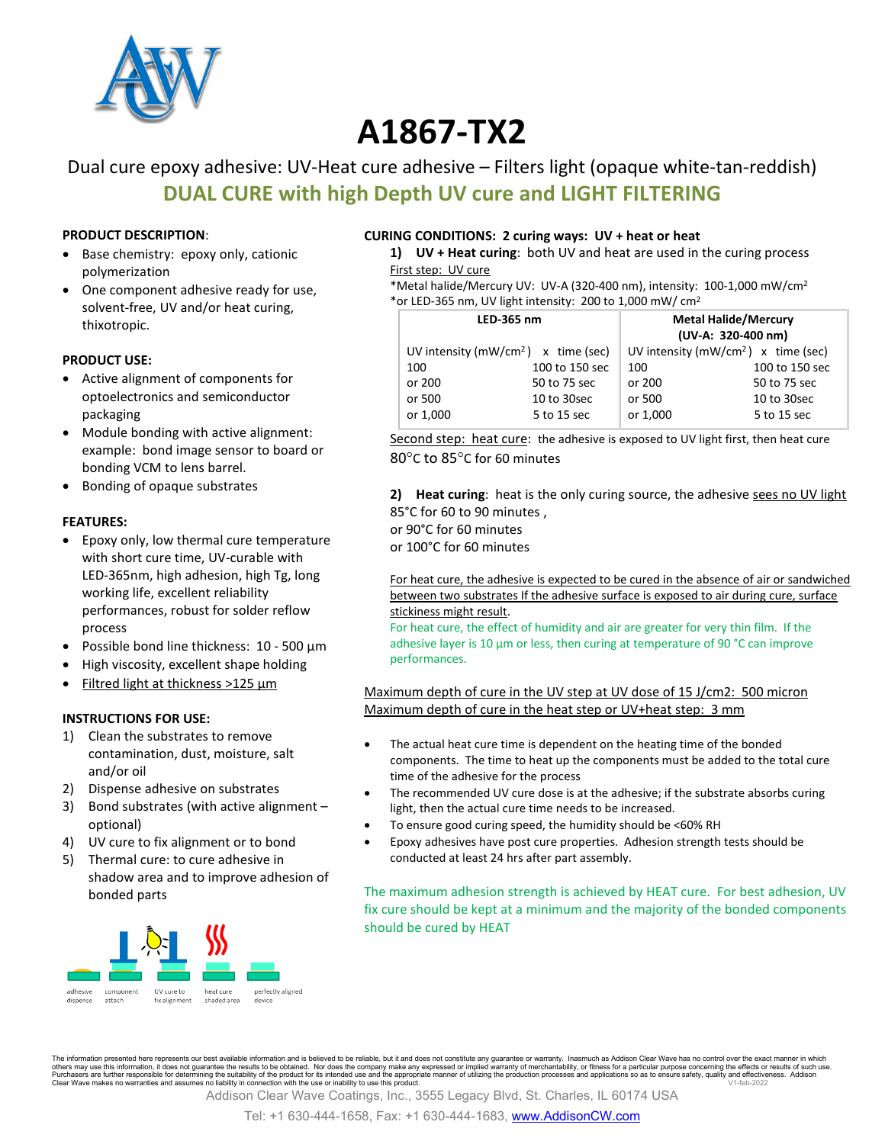

# **A1867-TX2**

## Dual cure epoxy adhesive: UV-Heat cure adhesive – Filters light (opaque white-tan-reddish) **DUAL CURE with high Depth UV cure and LIGHT FILTERING**

#### **PRODUCT DESCRIPTION**:

- Base chemistry: epoxy only, cationic polymerization
- One component adhesive ready for use, solvent-free, UV and/or heat curing, thixotropic.

#### **PRODUCT USE:**

- Active alignment of components for optoelectronics and semiconductor packaging
- Module bonding with active alignment: example: bond image sensor to board or bonding VCM to lens barrel.
- Bonding of opaque substrates

#### **FEATURES:**

- Epoxy only, low thermal cure temperature with short cure time, UV-curable with LED-365nm, high adhesion, high Tg, long working life, excellent reliability performances, robust for solder reflow process
- Possible bond line thickness: 10 500 µm
- High viscosity, excellent shape holding
- Filtred light at thickness >125 µm

#### **INSTRUCTIONS FOR USE:**

- 1) Clean the substrates to remove contamination, dust, moisture, salt and/or oil
- 2) Dispense adhesive on substrates
- 3) Bond substrates (with active alignment optional)
- 4) UV cure to fix alignment or to bond
- 5) Thermal cure: to cure adhesive in shadow area and to improve adhesion of bonded parts



#### **CURING CONDITIONS: 2 curing ways: UV + heat or heat**

**1) UV + Heat curing**: both UV and heat are used in the curing process First step: UV cure

\*Metal halide/Mercury UV: UV-A (320-400 nm), intensity: 100-1,000 mW/cm2 \*or LED-365 nm, UV light intensity: 200 to 1,000 mW/ cm2

| LED-365 nm                             |                | <b>Metal Halide/Mercury</b><br>(UV-A: 320-400 nm) |                |
|----------------------------------------|----------------|---------------------------------------------------|----------------|
| UV intensity ( $mW/cm2$ ) x time (sec) |                | UV intensity ( $mW/cm2$ ) x time (sec)            |                |
| 100                                    | 100 to 150 sec | 100                                               | 100 to 150 sec |
| or 200                                 | 50 to 75 sec   | or 200                                            | 50 to 75 sec   |
| or 500                                 | 10 to 30 sec   | or 500                                            | 10 to 30sec    |
| or 1,000                               | 5 to 15 sec    | or 1,000                                          | 5 to 15 sec    |

Second step: heat cure: the adhesive is exposed to UV light first, then heat cure 80°C to 85°C for 60 minutes

**2) Heat curing**: heat is the only curing source, the adhesive sees no UV light 85°C for 60 to 90 minutes , or 90°C for 60 minutes

or 100°C for 60 minutes

For heat cure, the adhesive is expected to be cured in the absence of air or sandwiched between two substrates If the adhesive surface is exposed to air during cure, surface stickiness might result.

For heat cure, the effect of humidity and air are greater for very thin film. If the adhesive layer is 10 µm or less, then curing at temperature of 90 °C can improve performances.

#### Maximum depth of cure in the UV step at UV dose of 15 J/cm2: 500 micron Maximum depth of cure in the heat step or UV+heat step: 3 mm

- The actual heat cure time is dependent on the heating time of the bonded components. The time to heat up the components must be added to the total cure time of the adhesive for the process
- The recommended UV cure dose is at the adhesive; if the substrate absorbs curing light, then the actual cure time needs to be increased.
- To ensure good curing speed, the humidity should be <60% RH
- Epoxy adhesives have post cure properties. Adhesion strength tests should be conducted at least 24 hrs after part assembly.

The maximum adhesion strength is achieved by HEAT cure. For best adhesion, UV fix cure should be kept at a minimum and the majority of the bonded components should be cured by HEAT

The information presented here represents our best available information and is believed to be reliable, but it and does not constitute any guarantee or warranty. Inasmuch as Addison Clear Wave has no control over the exac others may use this information, it does not guarantee the results to be obtained. Nor does the company make any expressed or implied warranty of merchantability, or fitness for a particular purpose concerning the effect

Addison Clear Wave Coatings, Inc., 3555 Legacy Blvd, St. Charles, IL 60174 USA